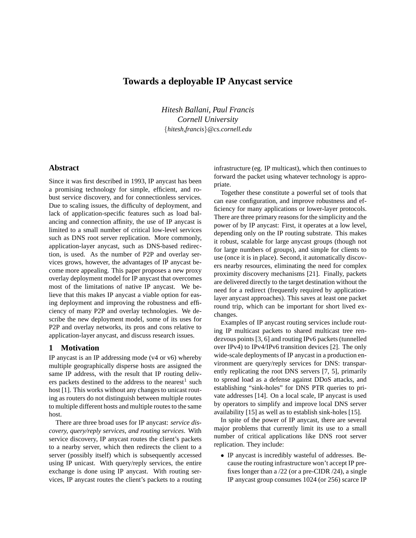# **Towards a deployable IP Anycast service**

*Hitesh Ballani, Paul Francis Cornell University* {*hitesh,francis*}*@cs.cornell.edu*

# **Abstract**

Since it was first described in 1993, IP anycast has been a promising technology for simple, efficient, and robust service discovery, and for connectionless services. Due to scaling issues, the difficulty of deployment, and lack of application-specific features such as load balancing and connection affinity, the use of IP anycast is limited to a small number of critical low-level services such as DNS root server replication. More commonly, application-layer anycast, such as DNS-based redirection, is used. As the number of P2P and overlay services grows, however, the advantages of IP anycast become more appealing. This paper proposes a new proxy overlay deployment model for IP anycast that overcomes most of the limitations of native IP anycast. We believe that this makes IP anycast a viable option for easing deployment and improving the robustness and efficiency of many P2P and overlay technologies. We describe the new deployment model, some of its uses for P2P and overlay networks, its pros and cons relative to application-layer anycast, and discuss research issues.

# **1 Motivation**

IP anycast is an IP addressing mode (v4 or v6) whereby multiple geographically disperse hosts are assigned the same IP address, with the result that IP routing delivers packets destined to the address to the nearest<sup>1</sup> such host [1]. This works without any changes to unicast routing as routers do not distinguish between multiple routes to multiple different hosts and multiple routes to the same host.

There are three broad uses for IP anycast: *service discovery, query/reply services, and routing services*. With service discovery, IP anycast routes the client's packets to a nearby server, which then redirects the client to a server (possibly itself) which is subsequently accessed using IP unicast. With query/reply services, the entire exchange is done using IP anycast. With routing services, IP anycast routes the client's packets to a routing

infrastructure (eg. IP multicast), which then continues to forward the packet using whatever technology is appropriate.

Together these constitute a powerful set of tools that can ease configuration, and improve robustness and efficiency for many applications or lower-layer protocols. There are three primary reasons for the simplicity and the power of by IP anycast: First, it operates at a low level, depending only on the IP routing substrate. This makes it robust, scalable for large anycast groups (though not for large numbers of groups), and simple for clients to use (once it is in place). Second, it automatically discovers nearby resources, eliminating the need for complex proximity discovery mechanisms [21]. Finally, packets are delivered directly to the target destination without the need for a redirect (frequently required by applicationlayer anycast approaches). This saves at least one packet round trip, which can be important for short lived exchanges.

Examples of IP anycast routing services include routing IP multicast packets to shared multicast tree rendezvous points [3, 6] and routing IPv6 packets (tunnelled over IPv4) to IPv4/IPv6 transition devices [2]. The only wide-scale deployments of IP anycast in a production environment are query/reply services for DNS: transparently replicating the root DNS servers [7, 5], primarily to spread load as a defense against DDoS attacks, and establishing "sink-holes" for DNS PTR queries to private addresses [14]. On a local scale, IP anycast is used by operators to simplify and improve local DNS server availability [15] as well as to establish sink-holes [15].

In spite of the power of IP anycast, there are several major problems that currently limit its use to a small number of critical applications like DNS root server replication. They include:

• IP anycast is incredibly wasteful of addresses. Because the routing infrastructure won't accept IP prefixes longer than a /22 (or a pre-CIDR /24), a single IP anycast group consumes 1024 (or 256) scarce IP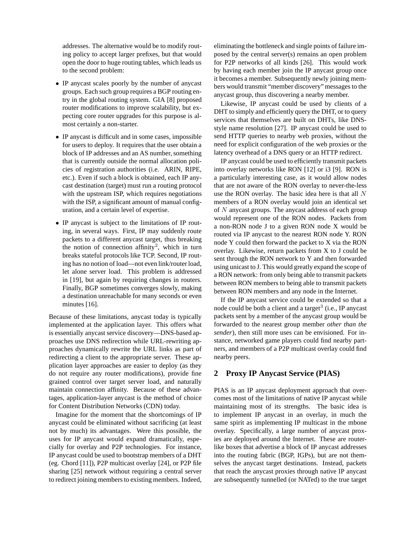addresses. The alternative would be to modify routing policy to accept larger prefixes, but that would open the door to huge routing tables, which leads us to the second problem:

- IP anycast scales poorly by the number of anycast groups. Each such group requires a BGP routing entry in the global routing system. GIA [8] proposed router modifications to improve scalability, but expecting core router upgrades for this purpose is almost certainly a non-starter.
- IP anycast is difficult and in some cases, impossible for users to deploy. It requires that the user obtain a block of IP addresses and an AS number, something that is currently outside the normal allocation policies of registration authorities (i.e. ARIN, RIPE, etc.). Even if such a block is obtained, each IP anycast destination (target) must run a routing protocol with the upstream ISP, which requires negotiations with the ISP, a significant amount of manual configuration, and a certain level of expertise.
- IP anycast is subject to the limitations of IP routing, in several ways. First, IP may suddenly route packets to a different anycast target, thus breaking the notion of connection affinity<sup>2</sup>, which in turn breaks stateful protocols like TCP. Second, IP routing has no notion of load—not even link/router load, let alone server load. This problem is addressed in [19], but again by requiring changes in routers. Finally, BGP sometimes converges slowly, making a destination unreachable for many seconds or even minutes [16].

Because of these limitations, anycast today is typically implemented at the application layer. This offers what is essentially anycast service discovery—DNS-based approaches use DNS redirection while URL-rewriting approaches dynamically rewrite the URL links as part of redirecting a client to the appropriate server. These application layer approaches are easier to deploy (as they do not require any router modifications), provide fine grained control over target server load, and naturally maintain connection affinity. Because of these advantages, application-layer anycast is the method of choice for Content Distribution Networks (CDN) today.

Imagine for the moment that the shortcomings of IP anycast could be eliminated without sacrificing (at least not by much) its advantages. Were this possible, the uses for IP anycast would expand dramatically, especially for overlay and P2P technologies. For instance, IP anycast could be used to bootstrap members of a DHT (eg. Chord [11]), P2P multicast overlay [24], or P2P file sharing [25] network without requiring a central server to redirect joining members to existing members. Indeed, eliminating the bottleneck and single points of failure imposed by the central server(s) remains an open problem for P2P networks of all kinds [26]. This would work by having each member join the IP anycast group once it becomes a member. Subsequently newly joining members would transmit "member discovery" messages to the anycast group, thus discovering a nearby member.

Likewise, IP anycast could be used by clients of a DHT to simply and efficiently query the DHT, or to query services that themselves are built on DHTs, like DNSstyle name resolution [27]. IP anycast could be used to send HTTP queries to nearby web proxies, without the need for explicit configuration of the web proxies or the latency overhead of a DNS query or an HTTP redirect.

IP anycast could be used to efficiently transmit packets into overlay networks like RON [12] or i3 [9]. RON is a particularly interesting case, as it would allow nodes that are not aware of the RON overlay to never-the-less use the RON overlay. The basic idea here is that all N members of a RON overlay would join an identical set of N anycast groups. The anycast address of each group would represent one of the RON nodes. Packets from a non-RON node J to a given RON node X would be routed via IP anycast to the nearest RON node Y. RON node Y could then forward the packet to X via the RON overlay. Likewise, return packets from X to J could be sent through the RON network to Y and then forwarded using unicast to J. This would greatly expand the scope of a RON network: from only being able to transmit packets between RON members to being able to transmit packets between RON members and any node in the Internet.

If the IP anycast service could be extended so that a node could be both a client and a target<sup>3</sup> (i.e., IP anycast packets sent by a member of the anycast group would be forwarded to the nearest group member *other than the sender*), then still more uses can be envisioned. For instance, networked game players could find nearby partners, and members of a P2P multicast overlay could find nearby peers.

# **2 Proxy IP Anycast Service (PIAS)**

PIAS is an IP anycast deployment approach that overcomes most of the limitations of native IP anycast while maintaining most of its strengths. The basic idea is to implement IP anycast in an overlay, in much the same spirit as implementing IP multicast in the mbone overlay. Specifically, a large number of anycast proxies are deployed around the Internet. These are routerlike boxes that advertise a block of IP anycast addresses into the routing fabric (BGP, IGPs), but are not themselves the anycast target destinations. Instead, packets that reach the anycast proxies through native IP anycast are subsequently tunnelled (or NATed) to the true target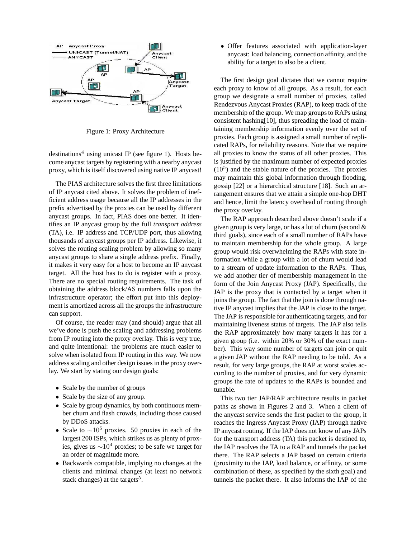

Figure 1: Proxy Architecture

destinations<sup>4</sup> using unicast IP (see figure 1). Hosts become anycast targets by registering with a nearby anycast proxy, which is itself discovered using native IP anycast!

The PIAS architecture solves the first three limitations of IP anycast cited above. It solves the problem of inefficient address usage because all the IP addresses in the prefix advertised by the proxies can be used by different anycast groups. In fact, PIAS does one better. It identifies an IP anycast group by the full *transport address* (TA), i.e. IP address and TCP/UDP port, thus allowing thousands of anycast groups per IP address. Likewise, it solves the routing scaling problem by allowing so many anycast groups to share a single address prefix. Finally, it makes it very easy for a host to become an IP anycast target. All the host has to do is register with a proxy. There are no special routing requirements. The task of obtaining the address block/AS numbers falls upon the infrastructure operator; the effort put into this deployment is amortized across all the groups the infrastructure can support.

Of course, the reader may (and should) argue that all we've done is push the scaling and addressing problems from IP routing into the proxy overlay. This is very true, and quite intentional: the problems are much easier to solve when isolated from IP routing in this way. We now address scaling and other design issues in the proxy overlay. We start by stating our design goals:

- Scale by the number of groups
- Scale by the size of any group.
- Scale by group dynamics, by both continuous member churn and flash crowds, including those caused by DDoS attacks.
- Scale to  $\sim 10^5$  proxies. 50 proxies in each of the largest 200 ISPs, which strikes us as plenty of proxies, gives us  $\sim 10^4$  proxies; to be safe we target for an order of magnitude more.
- Backwards compatible, implying no changes at the clients and minimal changes (at least no network stack changes) at the targets<sup>5</sup>.

• Offer features associated with application-layer anycast: load balancing, connection affinity, and the ability for a target to also be a client.

The first design goal dictates that we cannot require each proxy to know of all groups. As a result, for each group we designate a small number of proxies, called Rendezvous Anycast Proxies (RAP), to keep track of the membership of the group. We map groups to RAPs using consistent hashing[10], thus spreading the load of maintaining membership information evenly over the set of proxies. Each group is assigned a small number of replicated RAPs, for reliability reasons. Note that we require all proxies to know the status of all other proxies. This is justified by the maximum number of expected proxies  $(10<sup>5</sup>)$  and the stable nature of the proxies. The proxies may maintain this global information through flooding, gossip [22] or a hierarchical structure [18]. Such an arrangement ensures that we attain a simple one-hop DHT and hence, limit the latency overhead of routing through the proxy overlay.

The RAP approach described above doesn't scale if a given group is very large, or has a lot of churn (second & third goals), since each of a small number of RAPs have to maintain membership for the whole group. A large group would risk overwhelming the RAPs with state information while a group with a lot of churn would lead to a stream of update information to the RAPs. Thus, we add another tier of membership management in the form of the Join Anycast Proxy (JAP). Specifically, the JAP is the proxy that is contacted by a target when it joins the group. The fact that the join is done through native IP anycast implies that the JAP is close to the target. The JAP is responsible for authenticating targets, and for maintaining liveness status of targets. The JAP also tells the RAP approximately how many targets it has for a given group (i.e. within 20% or 30% of the exact number). This way some number of targets can join or quit a given JAP without the RAP needing to be told. As a result, for very large groups, the RAP at worst scales according to the number of proxies, and for very dynamic groups the rate of updates to the RAPs is bounded and tunable.

This two tier JAP/RAP architecture results in packet paths as shown in Figures 2 and 3. When a client of the anycast service sends the first packet to the group, it reaches the Ingress Anycast Proxy (IAP) through native IP anycast routing. If the IAP does not know of any JAPs for the transport address (TA) this packet is destined to, the IAP resolves the TA to a RAP and tunnels the packet there. The RAP selects a JAP based on certain criteria (proximity to the IAP, load balance, or affinity, or some combination of these, as specified by the sixth goal) and tunnels the packet there. It also informs the IAP of the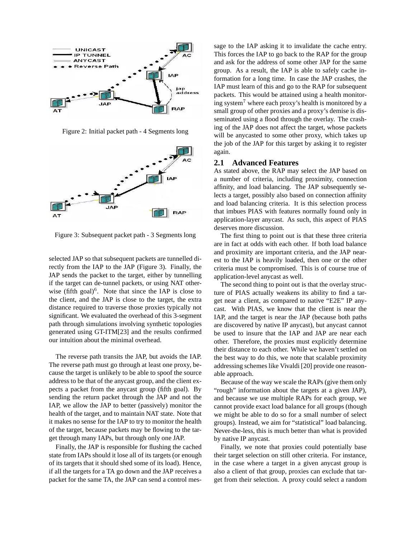

Figure 2: Initial packet path - 4 Segments long



Figure 3: Subsequent packet path - 3 Segments long

selected JAP so that subsequent packets are tunnelled directly from the IAP to the JAP (Figure 3). Finally, the JAP sends the packet to the target, either by tunnelling if the target can de-tunnel packets, or using NAT otherwise (fifth goal) $6$ . Note that since the IAP is close to the client, and the JAP is close to the target, the extra distance required to traverse those proxies typically not significant. We evaluated the overhead of this 3-segment path through simulations involving synthetic topologies generated using GT-ITM[23] and the results confirmed our intuition about the minimal overhead.

The reverse path transits the JAP, but avoids the IAP. The reverse path must go through at least one proxy, because the target is unlikely to be able to spoof the source address to be that of the anycast group, and the client expects a packet from the anycast group (fifth goal). By sending the return packet through the JAP and not the IAP, we allow the JAP to better (passively) monitor the health of the target, and to maintain NAT state. Note that it makes no sense for the IAP to try to monitor the health of the target, because packets may be flowing to the target through many IAPs, but through only one JAP.

Finally, the JAP is responsible for flushing the cached state from IAPs should it lose all of its targets (or enough of its targets that it should shed some of its load). Hence, if all the targets for a TA go down and the JAP receives a packet for the same TA, the JAP can send a control message to the IAP asking it to invalidate the cache entry. This forces the IAP to go back to the RAP for the group and ask for the address of some other JAP for the same group. As a result, the IAP is able to safely cache information for a long time. In case the JAP crashes, the IAP must learn of this and go to the RAP for subsequent packets. This would be attained using a health monitoring system<sup>7</sup> where each proxy's health is monitored by a small group of other proxies and a proxy's demise is disseminated using a flood through the overlay. The crashing of the JAP does not affect the target, whose packets will be anycasted to some other proxy, which takes up the job of the JAP for this target by asking it to register again.

#### **2.1 Advanced Features**

As stated above, the RAP may select the JAP based on a number of criteria, including proximity, connection affinity, and load balancing. The JAP subsequently selects a target, possibly also based on connection affinity and load balancing criteria. It is this selection process that imbues PIAS with features normally found only in application-layer anycast. As such, this aspect of PIAS deserves more discussion.

The first thing to point out is that these three criteria are in fact at odds with each other. If both load balance and proximity are important criteria, and the JAP nearest to the IAP is heavily loaded, then one or the other criteria must be compromised. This is of course true of application-level anycast as well.

The second thing to point out is that the overlay structure of PIAS actually weakens its ability to find a target near a client, as compared to native "E2E" IP anycast. With PIAS, we know that the client is near the IAP, and the target is near the JAP (because both paths are discovered by native IP anycast), but anycast cannot be used to insure that the IAP and JAP are near each other. Therefore, the proxies must explicitly determine their distance to each other. While we haven't settled on the best way to do this, we note that scalable proximity addressing schemes like Vivaldi [20] provide one reasonable approach.

Because of the way we scale the RAPs (give them only "rough" information about the targets at a given JAP), and because we use multiple RAPs for each group, we cannot provide exact load balance for all groups (though we might be able to do so for a small number of select groups). Instead, we aim for "statistical" load balancing. Never-the-less, this is much better than what is provided by native IP anycast.

Finally, we note that proxies could potentially base their target selection on still other criteria. For instance, in the case where a target in a given anycast group is also a client of that group, proxies can exclude that target from their selection. A proxy could select a random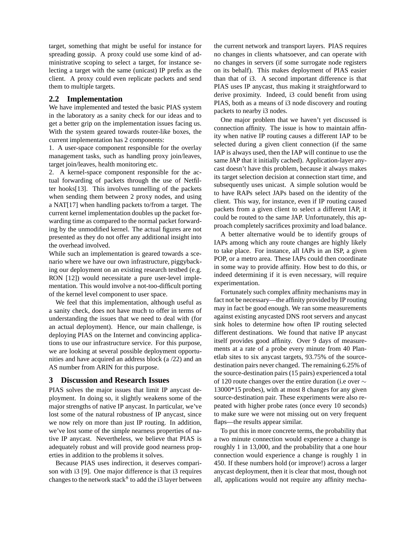target, something that might be useful for instance for spreading gossip. A proxy could use some kind of administrative scoping to select a target, for instance selecting a target with the same (unicast) IP prefix as the client. A proxy could even replicate packets and send them to multiple targets.

### **2.2 Implementation**

We have implemented and tested the basic PIAS system in the laboratory as a sanity check for our ideas and to get a better grip on the implementation issues facing us. With the system geared towards router-like boxes, the current implementation has 2 components:

1. A user-space component responsible for the overlay management tasks, such as handling proxy join/leaves, target join/leaves, health monitoring etc.

2. A kernel-space component responsible for the actual forwarding of packets through the use of Netfilter hooks[13]. This involves tunnelling of the packets when sending them between 2 proxy nodes, and using a NAT[17] when handling packets to/from a target. The current kernel implementation doubles up the packet forwarding time as compared to the normal packet forwarding by the unmodified kernel. The actual figures are not presented as they do not offer any additional insight into the overhead involved.

While such an implementation is geared towards a scenario where we have our own infrastructure, piggybacking our deployment on an existing research testbed (e.g. RON [12]) would necessitate a pure user-level implementation. This would involve a not-too-difficult porting of the kernel level component to user space.

We feel that this implementation, although useful as a sanity check, does not have much to offer in terms of understanding the issues that we need to deal with (for an actual deployment). Hence, our main challenge, is deploying PIAS on the Internet and convincing applications to use our infrastructure service. For this purpose, we are looking at several possible deployment opportunities and have acquired an address block (a /22) and an AS number from ARIN for this purpose.

# **3 Discussion and Research Issues**

PIAS solves the major issues that limit IP anycast deployment. In doing so, it slightly weakens some of the major strengths of native IP anycast. In particular, we've lost some of the natural robustness of IP anycast, since we now rely on more than just IP routing. In addition, we've lost some of the simple nearness properties of native IP anycast. Nevertheless, we believe that PIAS is adequately robust and will provide good nearness properties in addition to the problems it solves.

Because PIAS uses indirection, it deserves comparison with i3 [9]. One major difference is that i3 requires changes to the network stack<sup>8</sup> to add the i3 layer between

the current network and transport layers. PIAS requires no changes in clients whatsoever, and can operate with no changes in servers (if some surrogate node registers on its behalf). This makes deployment of PIAS easier than that of i3. A second important difference is that PIAS uses IP anycast, thus making it straightforward to derive proximity. Indeed, i3 could benefit from using PIAS, both as a means of i3 node discovery and routing packets to nearby i3 nodes.

One major problem that we haven't yet discussed is connection affinity. The issue is how to maintain affinity when native IP routing causes a different IAP to be selected during a given client connection (if the same IAP is always used, then the IAP will continue to use the same JAP that it initially cached). Application-layer anycast doesn't have this problem, because it always makes its target selection decision at connection start time, and subsequently uses unicast. A simple solution would be to have RAPs select JAPs based on the identity of the client. This way, for instance, even if IP routing caused packets from a given client to select a different IAP, it could be routed to the same JAP. Unfortunately, this approach completely sacrifices proximity and load balance.

A better alternative would be to identify groups of IAPs among which any route changes are highly likely to take place. For instance, all IAPs in an ISP, a given POP, or a metro area. These IAPs could then coordinate in some way to provide affinity. How best to do this, or indeed determining if it is even necessary, will require experimentation.

Fortunately such complex affinity mechanisms may in fact not be necessary—the affinity provided by IP routing may in fact be good enough. We ran some measurements against existing anycasted DNS root servers and anycast sink holes to determine how often IP routing selected different destinations. We found that native IP anycast itself provides good affinity. Over 9 days of measurements at a rate of a probe every minute from 40 Planetlab sites to six anycast targets, 93.75% of the sourcedestination pairs never changed. The remaining 6.25% of the source-destination pairs (15 pairs) experienced a total of 120 route changes over the entire duration (i.e over ∼ 13000\*15 probes), with at most 8 changes for any given source-destination pair. These experiments were also repeated with higher probe rates (once every 10 seconds) to make sure we were not missing out on very frequent flaps—the results appear similar.

To put this in more concrete terms, the probability that a two minute connection would experience a change is roughly 1 in 13,000, and the probability that a one hour connection would experience a change is roughly 1 in 450. If these numbers hold (or improve!) across a larger anycast deployment, then it is clear that most, though not all, applications would not require any affinity mecha